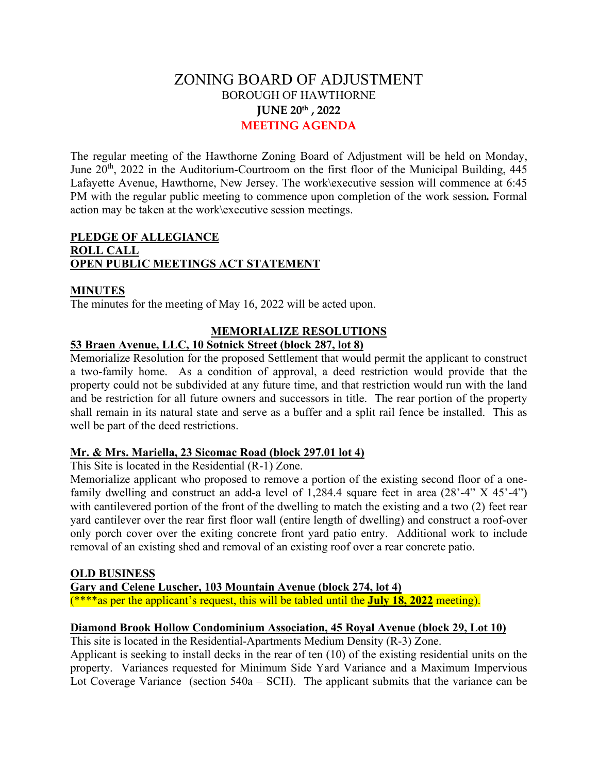# ZONING BOARD OF ADJUSTMENT BOROUGH OF HAWTHORNE **JUNE 20th , 2022 MEETING AGENDA**

The regular meeting of the Hawthorne Zoning Board of Adjustment will be held on Monday, June  $20<sup>th</sup>$ , 2022 in the Auditorium-Courtroom on the first floor of the Municipal Building, 445 Lafayette Avenue, Hawthorne, New Jersey. The work\executive session will commence at 6:45 PM with the regular public meeting to commence upon completion of the work session*.* Formal action may be taken at the work\executive session meetings.

## **PLEDGE OF ALLEGIANCE ROLL CALL OPEN PUBLIC MEETINGS ACT STATEMENT**

#### **MINUTES**

The minutes for the meeting of May 16, 2022 will be acted upon.

### **MEMORIALIZE RESOLUTIONS**

# **53 Braen Avenue, LLC, 10 Sotnick Street (block 287, lot 8)**

Memorialize Resolution for the proposed Settlement that would permit the applicant to construct a two-family home. As a condition of approval, a deed restriction would provide that the property could not be subdivided at any future time, and that restriction would run with the land and be restriction for all future owners and successors in title. The rear portion of the property shall remain in its natural state and serve as a buffer and a split rail fence be installed. This as well be part of the deed restrictions.

#### **Mr. & Mrs. Mariella, 23 Sicomac Road (block 297.01 lot 4)**

This Site is located in the Residential (R-1) Zone.

Memorialize applicant who proposed to remove a portion of the existing second floor of a onefamily dwelling and construct an add-a level of  $1,284.4$  square feet in area  $(28'-4'' \times 45'-4'')$ with cantilevered portion of the front of the dwelling to match the existing and a two (2) feet rear yard cantilever over the rear first floor wall (entire length of dwelling) and construct a roof-over only porch cover over the exiting concrete front yard patio entry. Additional work to include removal of an existing shed and removal of an existing roof over a rear concrete patio.

#### **OLD BUSINESS**

**Gary and Celene Luscher, 103 Mountain Avenue (block 274, lot 4)**

(\*\*\*\*as per the applicant's request, this will be tabled until the **July 18, 2022** meeting).

#### **Diamond Brook Hollow Condominium Association, 45 Royal Avenue (block 29, Lot 10)**

This site is located in the Residential-Apartments Medium Density (R-3) Zone.

Applicant is seeking to install decks in the rear of ten (10) of the existing residential units on the property. Variances requested for Minimum Side Yard Variance and a Maximum Impervious Lot Coverage Variance (section  $540a - SCH$ ). The applicant submits that the variance can be